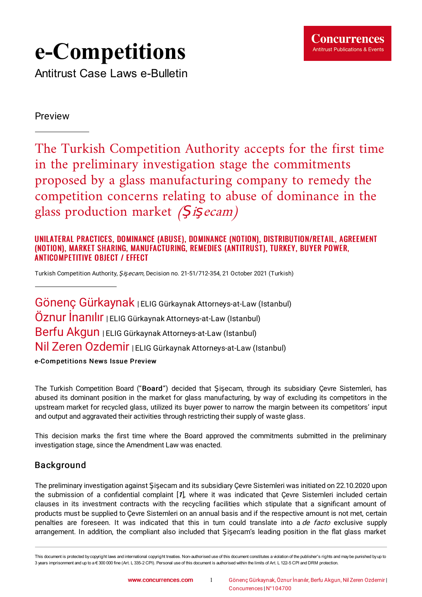

# **e-Competitions**

Antitrust Case Laws e-Bulletin

Preview

The Turkish Competition Authority accepts for the first time in the preliminary investigation stage the commitments proposed by a glass manufacturing company to remedy the competition concerns relating to abuse of dominance in the glass production market  $(Si\varsigma ecam)$ 

#### UNILATERAL PRACTICES, DOMINANCE (ABUSE), DOMINANCE (NOTION), DISTRIBUTION/RETAIL, AGREEMENT (NOTION), MARKET SHARING, MANUFACTURING, REMEDIES (ANTITRUST), TURKEY, BUYER POWER, ANTICOMPETITIVE OBJECT / EFFECT

Turkish Competition Authority, Şişecam, Decision no. [21-51/712-354,](https://www.concurrences.com/IMG/pdf/karar_21-51-712-354.pdf?75103/90b984ca26afc27770051d983e95dd15a676c0ec) 21 October 2021 (Turkish)

Gönenç Gürkaynak | ELIG Gürkaynak Attorneys-at-Law (Istanbul) Öznur İnanılır | ELIG Gürkaynak Attorneys-at-Law (Istanbul) Berfu Akgun | ELIG Gürkaynak Attorneys-at-Law (Istanbul) Nil Zeren Ozdemir <sup>|</sup> ELIG Gürkaynak Attorneys-at-Law (Istanbul)

e-Competitions News Issue Preview

The Turkish Competition Board ("Board") decided that Şişecam, through its subsidiary Çevre Sistemleri, has abused its dominant position in the market for glass manufacturing, by way of excluding its competitors in the upstream market for recycled glass, utilized its buyer power to narrow the margin between its competitors' input and output and aggravated their activities through restricting their supply of waste glass.

This decision marks the first time where the Board approved the commitments submitted in the preliminary investigation stage, since the Amendment Law was enacted.

## Background

<span id="page-0-0"></span>The preliminary investigation against Şişecam and its subsidiary Çevre Sistemleri was initiated on 22.10.2020 upon the submission of a confidential complaint  $[I]$ , where it was indicated that Çevre Sistemleri included certain clauses in its investment contracts with the recycling facilities which stipulate that a significant amount of products must be supplied to Çevre Sistemleri on an annual basis and if the respective amount is not met, certain penalties are foreseen. It was indicated that this in turn could translate into a de facto exclusive supply arrangement. In addition, the compliant also included that Sisecam's leading position in the flat glass market

This document is protected by copyright laws and international copyright treaties. Non-authorised use of this document constitutes a violation of the publisher's rights and maybe punished byup to 3 years imprisonment and up to a € 300 000 fine (Art. L 335-2 CPI). Personal use of this document is authorised within the limits of Art. L 122-5 CPI and DRM protection.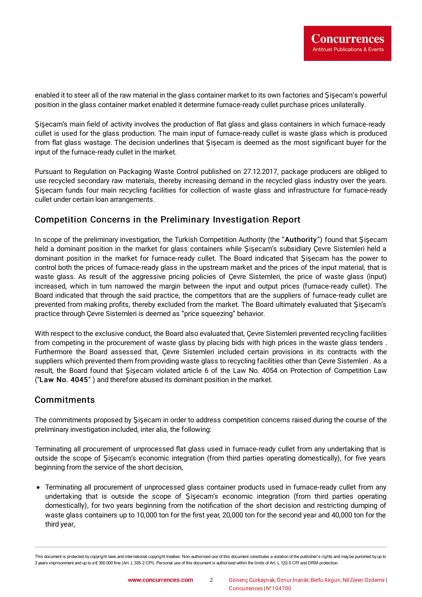enabled it to steer all of the raw material in the glass container market to its own factories and Şişecam's powerful position in the glass container market enabled it determine furnace-ready cullet purchase prices unilaterally.

Sisecam's main field of activity involves the production of flat glass and glass containers in which furnace-ready cullet is used for the glass production. The main input of furnace-ready cullet is waste glass which is produced from flat glass wastage. The decision underlines that Sisecam is deemed as the most significant buyer for the input of the furnace-ready cullet in the market.

Pursuant to Regulation on Packaging Waste Control published on 27.12.2017, package producers are obliged to use recycled secondary raw materials, thereby increasing demand in the recycled glass industry over the years. Şişecam funds four main recycling facilities for collection of waste glass and infrastructure for furnace-ready cullet under certain loan arrangements.

## Competition Concerns in the Preliminary Investigation Report

In scope of the preliminary investigation, the Turkish Competition Authority (the "Authority") found that Şişecam held a dominant position in the market for glass containers while Şişecam's subsidiary Çevre Sistemleri held a dominant position in the market for furnace-ready cullet. The Board indicated that Şişecam has the power to control both the prices of furnace-ready glass in the upstream market and the prices of the input material, that is waste glass. As result of the aggressive pricing policies of Çevre Sistemleri, the price of waste glass (input) increased, which in turn narrowed the margin between the input and output prices (furnace-ready cullet). The Board indicated that through the said practice, the competitors that are the suppliers of furnace-ready cullet are prevented from making profits, thereby excluded from the market. The Board ultimately evaluated that Şişecam's practice through Çevre Sistemleri is deemed as "price squeezing" behavior.

With respect to the exclusive conduct, the Board also evaluated that, Çevre Sistemleri prevented recycling facilities from competing in the procurement of waste glass by placing bids with high prices in the waste glass tenders . Furthermore the Board assessed that, Çevre Sistemleri included certain provisions in its contracts with the suppliers which prevented them from providing waste glass to recycling facilities other than Çevre Sistemleri . As a result, the Board found that Şişecam violated article 6 of the Law No. 4054 on Protection of Competition Law ("Law No. 4045" ) and therefore abused its dominant position in the market.

### **Commitments**

The commitments proposed by Şişecam in order to address competition concerns raised during the course of the preliminary investigation included, inter alia, the following:

Terminating all procurement of unprocessed flat glass used in furnace-ready cullet from any undertaking that is outside the scope of Şişecam's economic integration (from third parties operating domestically), for five years beginning from the service of the short decision,

Terminating all procurement of unprocessed glass container products used in furnace-ready cullet from any undertaking that is outside the scope of Şişecam's economic integration (from third parties operating domestically), for two years beginning from the notification of the short decision and restricting dumping of waste glass containers up to 10,000 ton for the first year, 20,000 ton for the second year and 40,000 ton for the third year,

This document is protected by copyright laws and international copyright treaties. Non-authorised use of this document constitutes a violation of the publisher's rights and maybe punished byup to 3 years imprisonment and up to a € 300 000 fine (Art. L 335-2 CPI). Personal use of this document is authorised within the limits of Art. L 122-5 CPI and DRM protection.